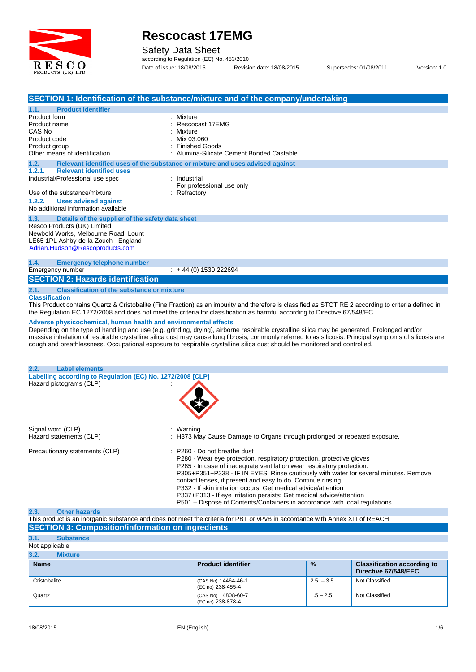

Safety Data Sheet

according to Regulation (EC) No. 453/2010 Date of issue: 18/08/2015 Revision date: 18/08/2015 Supersedes: 01/08/2011 Version: 1.0

|                                                                                                                                                       | SECTION 1: Identification of the substance/mixture and of the company/undertaking                                                                                                                                                                                                                                                                                                                                                                                                                                                                                                                                                                                                                                          |
|-------------------------------------------------------------------------------------------------------------------------------------------------------|----------------------------------------------------------------------------------------------------------------------------------------------------------------------------------------------------------------------------------------------------------------------------------------------------------------------------------------------------------------------------------------------------------------------------------------------------------------------------------------------------------------------------------------------------------------------------------------------------------------------------------------------------------------------------------------------------------------------------|
| <b>Product identifier</b><br>1.1.<br>Product form<br>Product name<br>CAS No<br>Product code<br>Product group<br>Other means of identification         | : Mixture<br>Rescocast 17EMG<br>Mixture<br>Mix 03.060<br><b>Finished Goods</b><br>Alumina-Silicate Cement Bonded Castable                                                                                                                                                                                                                                                                                                                                                                                                                                                                                                                                                                                                  |
| 1.2.<br>1.2.1.<br><b>Relevant identified uses</b>                                                                                                     | Relevant identified uses of the substance or mixture and uses advised against                                                                                                                                                                                                                                                                                                                                                                                                                                                                                                                                                                                                                                              |
| Industrial/Professional use spec<br>Use of the substance/mixture<br>1.2.2.<br><b>Uses advised against</b><br>No additional information available      | : Industrial<br>For professional use only<br>$:$ Refractory                                                                                                                                                                                                                                                                                                                                                                                                                                                                                                                                                                                                                                                                |
| 1.3.<br>Details of the supplier of the safety data sheet                                                                                              |                                                                                                                                                                                                                                                                                                                                                                                                                                                                                                                                                                                                                                                                                                                            |
| Resco Products (UK) Limited<br>Newbold Works, Melbourne Road, Lount<br>LE65 1PL Ashby-de-la-Zouch - England<br>Adrian.Hudson@Rescoproducts.com        |                                                                                                                                                                                                                                                                                                                                                                                                                                                                                                                                                                                                                                                                                                                            |
| 1.4.<br><b>Emergency telephone number</b><br>Emergency number                                                                                         | $: +44(0)$ 1530 222694                                                                                                                                                                                                                                                                                                                                                                                                                                                                                                                                                                                                                                                                                                     |
| <b>SECTION 2: Hazards identification</b>                                                                                                              |                                                                                                                                                                                                                                                                                                                                                                                                                                                                                                                                                                                                                                                                                                                            |
| 2.1.<br><b>Classification of the substance or mixture</b><br><b>Classification</b><br>Adverse physicochemical, human health and environmental effects | This Product contains Quartz & Cristobalite (Fine Fraction) as an impurity and therefore is classified as STOT RE 2 according to criteria defined in<br>the Regulation EC 1272/2008 and does not meet the criteria for classification as harmful according to Directive 67/548/EC<br>Depending on the type of handling and use (e.g. grinding, drying), airborne respirable crystalline silica may be generated. Prolonged and/or<br>massive inhalation of respirable crystalline silica dust may cause lung fibrosis, commonly referred to as silicosis. Principal symptoms of silicosis are<br>cough and breathlessness. Occupational exposure to respirable crystalline silica dust should be monitored and controlled. |
| 2.2.<br><b>Label elements</b>                                                                                                                         |                                                                                                                                                                                                                                                                                                                                                                                                                                                                                                                                                                                                                                                                                                                            |
| Labelling according to Regulation (EC) No. 1272/2008 [CLP]<br>Hazard pictograms (CLP)                                                                 |                                                                                                                                                                                                                                                                                                                                                                                                                                                                                                                                                                                                                                                                                                                            |
| Signal word (CLP)<br>Hazard statements (CLP)                                                                                                          | Warning<br>: H373 May Cause Damage to Organs through prolonged or repeated exposure.                                                                                                                                                                                                                                                                                                                                                                                                                                                                                                                                                                                                                                       |
| Precautionary statements (CLP)                                                                                                                        | : P260 - Do not breathe dust<br>P280 - Wear eye protection, respiratory protection, protective gloves<br>P285 - In case of inadequate ventilation wear respiratory protection.<br>P305+P351+P338 - IF IN EYES: Rinse cautiously with water for several minutes. Remove<br>contact lenses, if present and easy to do. Continue rinsing<br>P332 - If skin irritation occurs: Get medical advice/attention<br>P337+P313 - If eye irritation persists: Get medical advice/attention<br>P501 - Dispose of Contents/Containers in accordance with local regulations.                                                                                                                                                             |

#### **2.3. Other hazards** This product is an inorganic substance and does notmeet the criteria for PBT or vPvB in accordance with Annex XIII of REACH

**SECTION 3: Composition/information on ingredients 3.1. Substance** Not applicable **3.2. Mixture Name Product identifier % Classification according to** % **Classification according to**<br>
Directive 67/548/EEC<br>
2.5 – 3.5 Not Classified Cristobalite (CAS No) 14464-46-1 (EC no) 238-455-4 Quartz (CAS No) 14808-60-7 (EC no) 238-878-4  $2.5 - 3.5$ <br>  $1.5 - 2.5$ <br>
Not Classified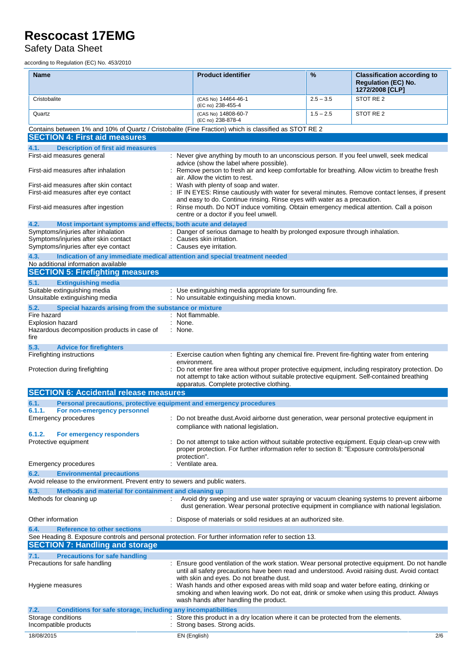Safety Data Sheet

according to Regulation (EC) No. 453/2010

| <b>Name</b>                                                                                                                                                                                    | <b>Product identifier</b>                                                                                                                                                                                                                                                   | %           | <b>Classification according to</b><br><b>Requlation (EC) No.</b><br>1272/2008 [CLP] |
|------------------------------------------------------------------------------------------------------------------------------------------------------------------------------------------------|-----------------------------------------------------------------------------------------------------------------------------------------------------------------------------------------------------------------------------------------------------------------------------|-------------|-------------------------------------------------------------------------------------|
| Cristobalite                                                                                                                                                                                   | (CAS No) 14464-46-1<br>(EC no) 238-455-4                                                                                                                                                                                                                                    | $2.5 - 3.5$ | STOT RE 2                                                                           |
| Quartz                                                                                                                                                                                         | (CAS No) 14808-60-7                                                                                                                                                                                                                                                         | $1.5 - 2.5$ | STOT RE <sub>2</sub>                                                                |
| Contains between 1% and 10% of Quartz / Cristobalite (Fine Fraction) which is classified as STOT RE 2                                                                                          | (EC no) 238-878-4                                                                                                                                                                                                                                                           |             |                                                                                     |
| <b>SECTION 4: First aid measures</b>                                                                                                                                                           |                                                                                                                                                                                                                                                                             |             |                                                                                     |
| <b>Description of first aid measures</b><br>4.1.<br>First-aid measures general                                                                                                                 | : Never give anything by mouth to an unconscious person. If you feel unwell, seek medical                                                                                                                                                                                   |             |                                                                                     |
| First-aid measures after inhalation                                                                                                                                                            | advice (show the label where possible).<br>Remove person to fresh air and keep comfortable for breathing. Allow victim to breathe fresh                                                                                                                                     |             |                                                                                     |
| First-aid measures after skin contact                                                                                                                                                          | air. Allow the victim to rest.<br>Wash with plenty of soap and water.                                                                                                                                                                                                       |             |                                                                                     |
| First-aid measures after eye contact                                                                                                                                                           | IF IN EYES: Rinse cautiously with water for several minutes. Remove contact lenses, if present                                                                                                                                                                              |             |                                                                                     |
| First-aid measures after ingestion                                                                                                                                                             | and easy to do. Continue rinsing. Rinse eyes with water as a precaution.<br>: Rinse mouth. Do NOT induce vomiting. Obtain emergency medical attention. Call a poison<br>centre or a doctor if you feel unwell.                                                              |             |                                                                                     |
| 4.2.<br>Most important symptoms and effects, both acute and delayed                                                                                                                            |                                                                                                                                                                                                                                                                             |             |                                                                                     |
| Symptoms/injuries after inhalation<br>Symptoms/injuries after skin contact                                                                                                                     | : Danger of serious damage to health by prolonged exposure through inhalation.<br>Causes skin irritation.                                                                                                                                                                   |             |                                                                                     |
| Symptoms/injuries after eye contact<br>4.3.<br>Indication of any immediate medical attention and special treatment needed                                                                      | : Causes eye irritation.                                                                                                                                                                                                                                                    |             |                                                                                     |
| No additional information available                                                                                                                                                            |                                                                                                                                                                                                                                                                             |             |                                                                                     |
| <b>SECTION 5: Firefighting measures</b>                                                                                                                                                        |                                                                                                                                                                                                                                                                             |             |                                                                                     |
| 5.1.<br><b>Extinguishing media</b>                                                                                                                                                             |                                                                                                                                                                                                                                                                             |             |                                                                                     |
| Suitable extinguishing media<br>Unsuitable extinguishing media                                                                                                                                 | : Use extinguishing media appropriate for surrounding fire.<br>: No unsuitable extinguishing media known.                                                                                                                                                                   |             |                                                                                     |
| 5.2.<br>Special hazards arising from the substance or mixture                                                                                                                                  |                                                                                                                                                                                                                                                                             |             |                                                                                     |
| Fire hazard                                                                                                                                                                                    | : Not flammable.<br>: None.                                                                                                                                                                                                                                                 |             |                                                                                     |
| Explosion hazard<br>Hazardous decomposition products in case of<br>fire                                                                                                                        | : None.                                                                                                                                                                                                                                                                     |             |                                                                                     |
| 5.3.<br><b>Advice for firefighters</b>                                                                                                                                                         |                                                                                                                                                                                                                                                                             |             |                                                                                     |
| Firefighting instructions                                                                                                                                                                      | : Exercise caution when fighting any chemical fire. Prevent fire-fighting water from entering                                                                                                                                                                               |             |                                                                                     |
| Protection during firefighting                                                                                                                                                                 | environment.<br>Do not enter fire area without proper protective equipment, including respiratory protection. Do<br>not attempt to take action without suitable protective equipment. Self-contained breathing                                                              |             |                                                                                     |
|                                                                                                                                                                                                | apparatus. Complete protective clothing.                                                                                                                                                                                                                                    |             |                                                                                     |
| <b>SECTION 6: Accidental release measures</b>                                                                                                                                                  |                                                                                                                                                                                                                                                                             |             |                                                                                     |
| Personal precautions, protective equipment and emergency procedures<br>6.1.<br>6.1.1.<br>For non-emergency personnel                                                                           |                                                                                                                                                                                                                                                                             |             |                                                                                     |
| <b>Emergency procedures</b>                                                                                                                                                                    | : Do not breathe dust. Avoid airborne dust generation, wear personal protective equipment in                                                                                                                                                                                |             |                                                                                     |
| 6.1.2.<br>For emergency responders                                                                                                                                                             | compliance with national legislation.                                                                                                                                                                                                                                       |             |                                                                                     |
| Protective equipment                                                                                                                                                                           | : Do not attempt to take action without suitable protective equipment. Equip clean-up crew with<br>proper protection. For further information refer to section 8: "Exposure controls/personal<br>protection".                                                               |             |                                                                                     |
| Emergency procedures                                                                                                                                                                           | Ventilate area.                                                                                                                                                                                                                                                             |             |                                                                                     |
| 6.2.<br><b>Environmental precautions</b><br>Avoid release to the environment. Prevent entry to sewers and public waters.                                                                       |                                                                                                                                                                                                                                                                             |             |                                                                                     |
| 6.3.<br>Methods and material for containment and cleaning up                                                                                                                                   |                                                                                                                                                                                                                                                                             |             |                                                                                     |
| Methods for cleaning up                                                                                                                                                                        | Avoid dry sweeping and use water spraying or vacuum cleaning systems to prevent airborne<br>dust generation. Wear personal protective equipment in compliance with national legislation.                                                                                    |             |                                                                                     |
| Other information                                                                                                                                                                              | : Dispose of materials or solid residues at an authorized site.                                                                                                                                                                                                             |             |                                                                                     |
| 6.4.<br><b>Reference to other sections</b><br>See Heading 8. Exposure controls and personal protection. For further information refer to section 13.<br><b>SECTION 7: Handling and storage</b> |                                                                                                                                                                                                                                                                             |             |                                                                                     |
| <b>Precautions for safe handling</b><br>7.1.                                                                                                                                                   |                                                                                                                                                                                                                                                                             |             |                                                                                     |
| Precautions for safe handling                                                                                                                                                                  | Ensure good ventilation of the work station. Wear personal protective equipment. Do not handle<br>until all safety precautions have been read and understood. Avoid raising dust. Avoid contact                                                                             |             |                                                                                     |
| Hygiene measures                                                                                                                                                                               | with skin and eyes. Do not breathe dust.<br>: Wash hands and other exposed areas with mild soap and water before eating, drinking or<br>smoking and when leaving work. Do not eat, drink or smoke when using this product. Always<br>wash hands after handling the product. |             |                                                                                     |
| Conditions for safe storage, including any incompatibilities<br>7.2.                                                                                                                           |                                                                                                                                                                                                                                                                             |             |                                                                                     |
| Storage conditions<br>Incompatible products                                                                                                                                                    | : Store this product in a dry location where it can be protected from the elements.<br>Strong bases. Strong acids.                                                                                                                                                          |             |                                                                                     |
| 18/08/2015                                                                                                                                                                                     | EN (English)                                                                                                                                                                                                                                                                |             | 2/6                                                                                 |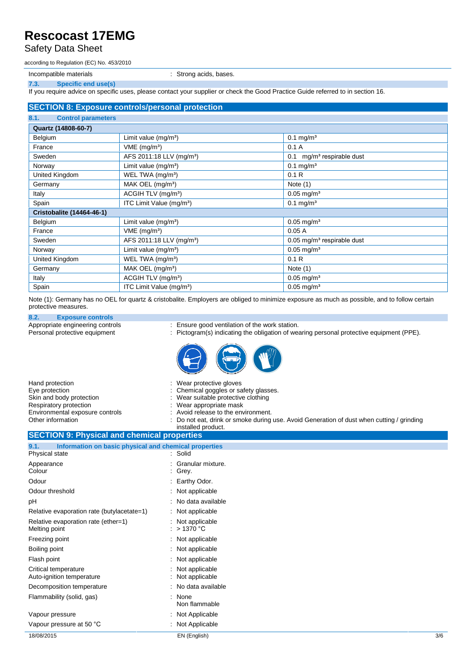### Safety Data Sheet

according to Regulation (EC) No. 453/2010

Incompatible materials **incompatible materials incompatible materials incompatible** materials

**7.3. Specific end use(s)**

If you require advice on specific uses, please contact your supplier or check the Good Practice Guide referred to in section 16.

#### **SECTION 8: Exposure controls/personal protection**

| 8.1.<br><b>Control parameters</b> |                                      |                                          |  |  |
|-----------------------------------|--------------------------------------|------------------------------------------|--|--|
| Quartz (14808-60-7)               |                                      |                                          |  |  |
| Belgium                           | Limit value $(mg/m3)$                | $0.1$ mg/m <sup>3</sup>                  |  |  |
| France                            | VME (mg/m <sup>3</sup> )             | 0.1A                                     |  |  |
| Sweden                            | AFS 2011:18 LLV (mg/m <sup>3</sup> ) | mg/m <sup>3</sup> respirable dust<br>0.1 |  |  |
| Norway                            | Limit value $(mg/m3)$                | $0.1$ mg/m <sup>3</sup>                  |  |  |
| United Kingdom                    | WEL TWA (mg/m <sup>3</sup> )         | 0.1R                                     |  |  |
| Germany                           | MAK OEL $(mg/m3)$                    | Note $(1)$                               |  |  |
| Italy                             | ACGIH TLV (mg/m <sup>3</sup> )       | $0.05$ mg/m <sup>3</sup>                 |  |  |
| Spain                             | ITC Limit Value (mg/m <sup>3</sup> ) | $0.1$ mg/m <sup>3</sup>                  |  |  |
| <b>Cristobalite (14464-46-1)</b>  |                                      |                                          |  |  |
| Belgium                           | Limit value $(mg/m3)$                | $0.05$ mg/m <sup>3</sup>                 |  |  |
| France                            | $VME$ (mg/m <sup>3</sup> )           | 0.05A                                    |  |  |
| Sweden                            | AFS 2011:18 LLV (mg/m <sup>3</sup> ) | $0.05$ mg/m <sup>3</sup> respirable dust |  |  |
| Norway                            | Limit value $(mg/m3)$                | $0.05$ mg/m <sup>3</sup>                 |  |  |
| United Kingdom                    | WEL TWA (mg/m <sup>3</sup> )         | 0.1R                                     |  |  |
| Germany                           | MAK OEL $(mg/m3)$                    | Note $(1)$                               |  |  |
| Italy                             | ACGIH TLV (mg/m <sup>3</sup> )       | $0.05$ mg/m <sup>3</sup>                 |  |  |
| Spain                             | ITC Limit Value (mg/m <sup>3</sup> ) | $0.05$ mg/m <sup>3</sup>                 |  |  |

Note (1): Germany has no OEL for quartz & cristobalite. Employers are obliged to minimize exposure as much as possible, and to follow certain protective measures.

**8.2. Exposure controls** Appropriate engineering controls : Ensure good ventilation of the work station.<br>
Personal protective equipment : Pictogram(s) indicating the obligation of wear

- 
- : Pictogram(s) indicating the obligation of wearing personal protective equipment (PPE).



| Hand protection                 | : Wear protective gloves                                                                  |
|---------------------------------|-------------------------------------------------------------------------------------------|
| Eye protection                  | : Chemical goggles or safety glasses.                                                     |
| Skin and body protection        | : Wear suitable protective clothing                                                       |
| Respiratory protection          | : Wear appropriate mask                                                                   |
| Environmental exposure controls | : Avoid release to the environment.                                                       |
| Other information               | : Do not eat, drink or smoke during use. Avoid Generation of dust when cutting / grinding |
|                                 | installed product.                                                                        |

### **SECTION 9: Physical and chemical properties 9.1. Information on basic physical and chemical properties Physical state** Appearance : Granular mixture.

| Colour                                               | : Grey.                          |     |
|------------------------------------------------------|----------------------------------|-----|
| Odour                                                | : Earthy Odor.                   |     |
| Odour threshold                                      | : Not applicable                 |     |
| рH                                                   | : No data available              |     |
| Relative evaporation rate (butylacetate=1)           | : Not applicable                 |     |
| Relative evaporation rate (ether=1)<br>Melting point | : Not applicable<br>: $>1370$ °C |     |
| Freezing point                                       | : Not applicable                 |     |
| Boiling point                                        | Not applicable                   |     |
| Flash point                                          | Not applicable                   |     |
| Critical temperature<br>Auto-ignition temperature    | Not applicable<br>Not applicable |     |
| Decomposition temperature                            | No data available                |     |
| Flammability (solid, gas)                            | None<br>٠<br>Non flammable       |     |
| Vapour pressure                                      | Not Applicable                   |     |
| Vapour pressure at 50 °C                             | : Not Applicable                 |     |
| 18/08/2015                                           | EN (English)                     | 3/6 |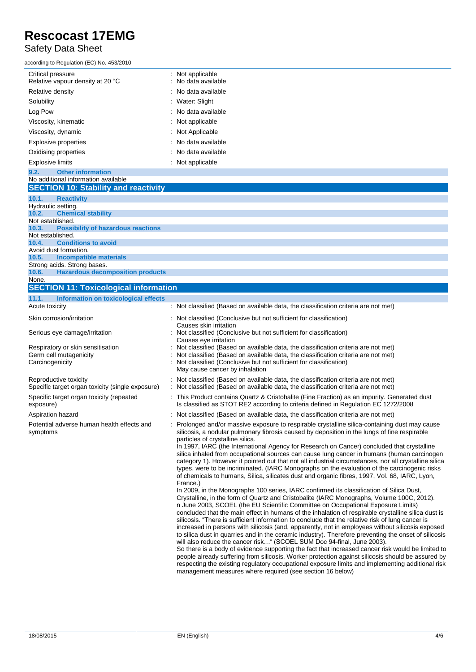### Safety Data Sheet

according to Regulation (EC) No. 453/2010

| ccording to Regulation (EC) No. 453/2010              |                                           |
|-------------------------------------------------------|-------------------------------------------|
| Critical pressure<br>Relative vapour density at 20 °C | $:$ Not applicable<br>: No data available |
| Relative density                                      | $\therefore$ No data available            |
| Solubility                                            | : Water: Slight                           |
| Log Pow                                               | $:$ No data available                     |
| Viscosity, kinematic                                  | $:$ Not applicable                        |
| Viscosity, dynamic                                    | : Not Applicable                          |
| Explosive properties                                  | : No data available                       |
| Oxidising properties                                  | $\therefore$ No data available            |
| <b>Explosive limits</b>                               | $:$ Not applicable                        |
|                                                       |                                           |

#### **9.2. Other information** No additional information available **SECTION 10: Stability and reactivity 10.1. Reactivity** Hydraulic setting. **10.2. Chemical stability** Not established. **10.3. Possibility of hazardous reactions** Not established. **10.4. Conditions to avoid** Avoid dust formation. **10.5. Incompatible materials** Strong acids. Strong bases.<br>10.6. Hazardous decor **10.6. Hazardous decomposition products** None. **SECTION 11: Toxicological information 11.1. Information on toxicological effects** : Not classified (Based on available data, the classification criteria are not met)

| Skin corrosion/irritation                                                 | : Not classified (Conclusive but not sufficient for classification)<br>Causes skin irritation                                                                                                                                                                                                                                                                                                                                                                                                                                                                                                                                                                                                                                                                                                                                                    |
|---------------------------------------------------------------------------|--------------------------------------------------------------------------------------------------------------------------------------------------------------------------------------------------------------------------------------------------------------------------------------------------------------------------------------------------------------------------------------------------------------------------------------------------------------------------------------------------------------------------------------------------------------------------------------------------------------------------------------------------------------------------------------------------------------------------------------------------------------------------------------------------------------------------------------------------|
| Serious eye damage/irritation                                             | : Not classified (Conclusive but not sufficient for classification)<br>Causes eye irritation                                                                                                                                                                                                                                                                                                                                                                                                                                                                                                                                                                                                                                                                                                                                                     |
| Respiratory or skin sensitisation<br>Germ cell mutagenicity               | Not classified (Based on available data, the classification criteria are not met)<br>: Not classified (Based on available data, the classification criteria are not met)                                                                                                                                                                                                                                                                                                                                                                                                                                                                                                                                                                                                                                                                         |
| Carcinogenicity                                                           | : Not classified (Conclusive but not sufficient for classification)<br>May cause cancer by inhalation                                                                                                                                                                                                                                                                                                                                                                                                                                                                                                                                                                                                                                                                                                                                            |
| Reproductive toxicity<br>Specific target organ toxicity (single exposure) | : Not classified (Based on available data, the classification criteria are not met)<br>: Not classified (Based on available data, the classification criteria are not met)                                                                                                                                                                                                                                                                                                                                                                                                                                                                                                                                                                                                                                                                       |
| Specific target organ toxicity (repeated<br>exposure)                     | : This Product contains Quartz & Cristobalite (Fine Fraction) as an impurity. Generated dust<br>Is classified as STOT RE2 according to criteria defined in Regulation EC 1272/2008                                                                                                                                                                                                                                                                                                                                                                                                                                                                                                                                                                                                                                                               |
| Aspiration hazard                                                         | : Not classified (Based on available data, the classification criteria are not met)                                                                                                                                                                                                                                                                                                                                                                                                                                                                                                                                                                                                                                                                                                                                                              |
| Potential adverse human health effects and<br>symptoms                    | : Prolonged and/or massive exposure to respirable crystalline silica-containing dust may cause<br>silicosis, a nodular pulmonary fibrosis caused by deposition in the lungs of fine respirable<br>particles of crystalline silica.<br>In 1997, IARC (the International Agency for Research on Cancer) concluded that crystalline<br>silica inhaled from occupational sources can cause lung cancer in humans (human carcinogen<br>category 1). However it pointed out that not all industrial circumstances, nor all crystalline silica<br>types, were to be incriminated. (IARC Monographs on the evaluation of the carcinogenic risks<br>of chemicals to humans, Silica, silicates dust and organic fibres, 1997, Vol. 68, IARC, Lyon,<br>France.)<br>In 2009, in the Monographs 100 series, IARC confirmed its classification of Silica Dust, |
|                                                                           | Crystalline, in the form of Quartz and Cristobalite (IARC Monographs, Volume 100C, 2012).<br>n June 2003, SCOEL (the EU Scientific Committee on Occupational Exposure Limits)<br>concluded that the main effect in humans of the inhalation of respirable crystalline silica dust is<br>silicosis. "There is sufficient information to conclude that the relative risk of lung cancer is<br>increased in persons with silicosis (and, apparently, not in employees without silicosis exposed<br>to silica dust in quarries and in the ceramic industry). Therefore preventing the onset of silicosis<br>will also reduce the cancer risk" (SCOEL SUM Doc 94-final, June 2003).                                                                                                                                                                   |
|                                                                           | So there is a body of evidence supporting the fact that increased cancer risk would be limited to<br>people already suffering from silicosis. Worker protection against silicosis should be assured by<br>respecting the existing regulatory occupational exposure limits and implementing additional risk<br>management measures where required (see section 16 below)                                                                                                                                                                                                                                                                                                                                                                                                                                                                          |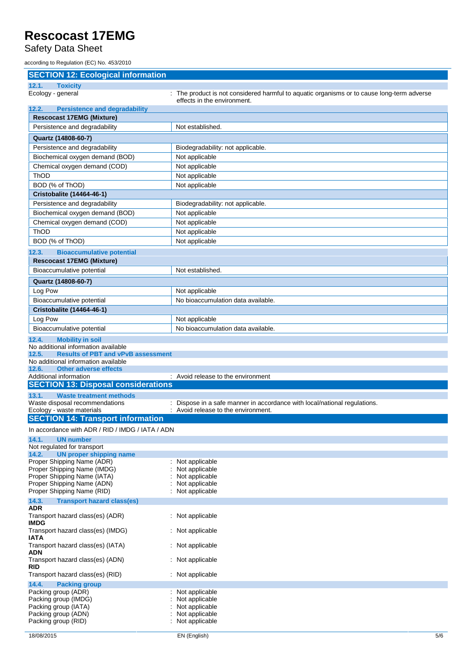Safety Data Sheet

according to Regulation (EC) No. 453/2010

| <b>SECTION 12: Ecological information</b>                                                 |                                                                                                                           |
|-------------------------------------------------------------------------------------------|---------------------------------------------------------------------------------------------------------------------------|
| 12.1.<br><b>Toxicity</b>                                                                  |                                                                                                                           |
| Ecology - general                                                                         | : The product is not considered harmful to aquatic organisms or to cause long-term adverse<br>effects in the environment. |
| 12.2.<br><b>Persistence and degradability</b>                                             |                                                                                                                           |
| <b>Rescocast 17EMG (Mixture)</b>                                                          |                                                                                                                           |
| Persistence and degradability                                                             | Not established.                                                                                                          |
| Quartz (14808-60-7)                                                                       |                                                                                                                           |
| Persistence and degradability                                                             | Biodegradability: not applicable.                                                                                         |
| Biochemical oxygen demand (BOD)                                                           | Not applicable                                                                                                            |
| Chemical oxygen demand (COD)                                                              | Not applicable                                                                                                            |
| <b>ThOD</b>                                                                               | Not applicable                                                                                                            |
| BOD (% of ThOD)                                                                           | Not applicable                                                                                                            |
| Cristobalite (14464-46-1)                                                                 |                                                                                                                           |
| Persistence and degradability                                                             | Biodegradability: not applicable.                                                                                         |
| Biochemical oxygen demand (BOD)                                                           | Not applicable                                                                                                            |
| Chemical oxygen demand (COD)                                                              | Not applicable                                                                                                            |
| <b>ThOD</b>                                                                               | Not applicable                                                                                                            |
| BOD (% of ThOD)                                                                           | Not applicable                                                                                                            |
| 12.3.<br><b>Bioaccumulative potential</b>                                                 |                                                                                                                           |
| <b>Rescocast 17EMG (Mixture)</b>                                                          |                                                                                                                           |
| Bioaccumulative potential                                                                 | Not established.                                                                                                          |
| Quartz (14808-60-7)                                                                       |                                                                                                                           |
| Log Pow                                                                                   | Not applicable                                                                                                            |
| Bioaccumulative potential                                                                 | No bioaccumulation data available.                                                                                        |
| Cristobalite (14464-46-1)                                                                 |                                                                                                                           |
| Log Pow                                                                                   | Not applicable                                                                                                            |
| Bioaccumulative potential                                                                 | No bioaccumulation data available.                                                                                        |
| 12.4.<br><b>Mobility in soil</b>                                                          |                                                                                                                           |
| No additional information available<br>12.5.<br><b>Results of PBT and vPvB assessment</b> |                                                                                                                           |
| No additional information available                                                       |                                                                                                                           |
| 12.6.<br><b>Other adverse effects</b>                                                     |                                                                                                                           |
| Additional information                                                                    | : Avoid release to the environment                                                                                        |
| <b>SECTION 13: Disposal considerations</b>                                                |                                                                                                                           |
| 13.1.<br><b>Waste treatment methods</b>                                                   |                                                                                                                           |
| Waste disposal recommendations<br>Ecology - waste materials                               | : Dispose in a safe manner in accordance with local/national regulations.<br>: Avoid release to the environment.          |
| <b>SECTION 14: Transport information</b>                                                  |                                                                                                                           |
| In accordance with ADR / RID / IMDG / IATA / ADN                                          |                                                                                                                           |
| 14.1.<br><b>UN number</b>                                                                 |                                                                                                                           |
| Not regulated for transport                                                               |                                                                                                                           |
| 14.2.<br><b>UN proper shipping name</b>                                                   |                                                                                                                           |
| Proper Shipping Name (ADR)<br>Proper Shipping Name (IMDG)                                 | : Not applicable<br>Not applicable                                                                                        |
| Proper Shipping Name (IATA)                                                               | Not applicable                                                                                                            |
| Proper Shipping Name (ADN)                                                                | Not applicable                                                                                                            |
| Proper Shipping Name (RID)                                                                | Not applicable                                                                                                            |
| 14.3.<br><b>Transport hazard class(es)</b><br><b>ADR</b>                                  |                                                                                                                           |
| Transport hazard class(es) (ADR)<br><b>IMDG</b>                                           | : Not applicable                                                                                                          |
| Transport hazard class(es) (IMDG)<br><b>IATA</b>                                          | : Not applicable                                                                                                          |
| Transport hazard class(es) (IATA)<br><b>ADN</b>                                           | : Not applicable                                                                                                          |
| Transport hazard class(es) (ADN)<br><b>RID</b>                                            | : Not applicable                                                                                                          |
| Transport hazard class(es) (RID)                                                          | : Not applicable                                                                                                          |
| 14.4.<br><b>Packing group</b>                                                             |                                                                                                                           |
| Packing group (ADR)<br>Packing group (IMDG)                                               | : Not applicable<br>Not applicable                                                                                        |
| Packing group (IATA)                                                                      | Not applicable                                                                                                            |
| Packing group (ADN)                                                                       | Not applicable                                                                                                            |
| Packing group (RID)                                                                       | Not applicable                                                                                                            |